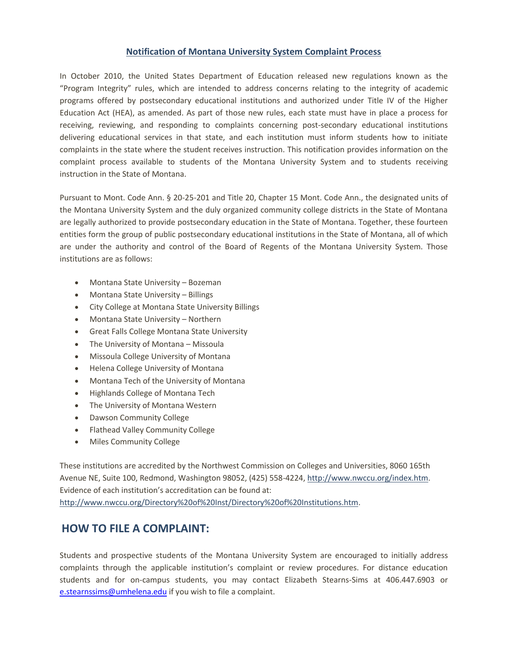## **Notification of Montana University System Complaint Process**

In October 2010, the United States Department of Education released new regulations known as the "Program Integrity" rules, which are intended to address concerns relating to the integrity of academic programs offered by postsecondary educational institutions and authorized under Title IV of the Higher Education Act (HEA), as amended. As part of those new rules, each state must have in place a process for receiving, reviewing, and responding to complaints concerning post-secondary educational institutions delivering educational services in that state, and each institution must inform students how to initiate complaints in the state where the student receives instruction. This notification provides information on the complaint process available to students of the Montana University System and to students receiving instruction in the State of Montana.

Pursuant to Mont. Code Ann. § 20-25-201 and Title 20, Chapter 15 Mont. Code Ann., the designated units of the Montana University System and the duly organized community college districts in the State of Montana are legally authorized to provide postsecondary education in the State of Montana. Together, these fourteen entities form the group of public postsecondary educational institutions in the State of Montana, all of which are under the authority and control of the Board of Regents of the Montana University System. Those institutions are as follows:

- Montana State University Bozeman
- Montana State University Billings
- City College at Montana State University Billings
- Montana State University Northern
- Great Falls College Montana State University
- The University of Montana Missoula
- Missoula College University of Montana
- Helena College University of Montana
- Montana Tech of the University of Montana
- Highlands College of Montana Tech
- The University of Montana Western
- Dawson Community College
- Flathead Valley Community College
- Miles Community College

These institutions are accredited by the Northwest Commission on Colleges and Universities, 8060 165th Avenue NE, Suite 100, Redmond, Washington 98052, (425) 558-4224[, http://www.nwccu.org/index.htm.](http://www.nwccu.org/index.htm) Evidence of each institution's accreditation can be found at: [http://www.nwccu.org/Directory%20of%20Inst/Directory%20of%20Institutions.htm.](http://www.nwccu.org/Directory%20of%20Inst/Directory%20of%20Institutions.htm)

## **HOW TO FILE A COMPLAINT:**

Students and prospective students of the Montana University System are encouraged to initially address complaints through the applicable institution's complaint or review procedures. For distance education students and for on-campus students, you may contact Elizabeth Stearns-Sims at 406.447.6903 or [e.stearnssims@umhelena.edu](mailto:e.stearnssims@umhelena.edu) if you wish to file a complaint.